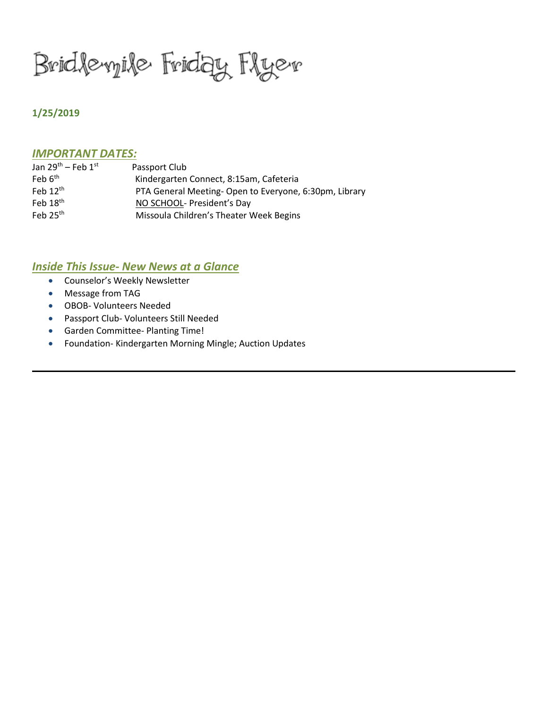Bridlevyile Friday Flyer

## **1/25/2019**

#### *IMPORTANT DATES:*

| Passport Club                                         |
|-------------------------------------------------------|
| Kindergarten Connect, 8:15am, Cafeteria               |
| PTA General Meeting-Open to Everyone, 6:30pm, Library |
| NO SCHOOL- President's Day                            |
| Missoula Children's Theater Week Begins               |
|                                                       |

#### *Inside This Issue- New News at a Glance*

- Counselor's Weekly Newsletter
- Message from TAG
- OBOB- Volunteers Needed
- Passport Club- Volunteers Still Needed
- Garden Committee- Planting Time!
- Foundation- Kindergarten Morning Mingle; Auction Updates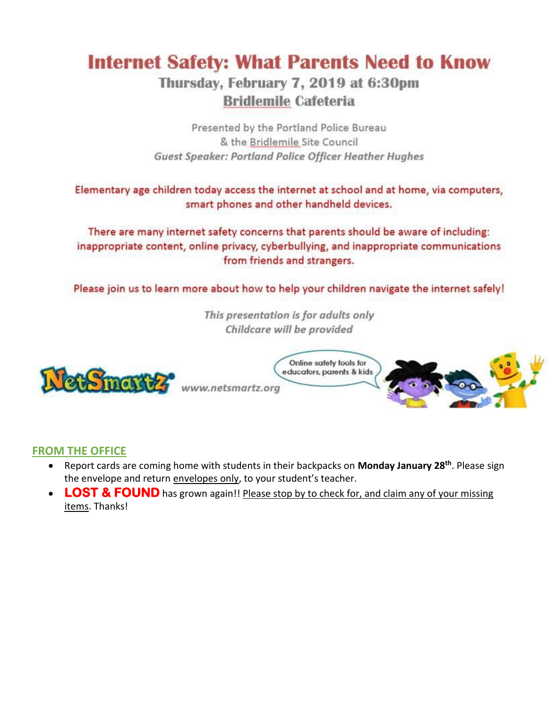# **Internet Safety: What Parents Need to Know**

# Thursday, February 7, 2019 at 6:30pm **Bridlemile Cafeteria**

Presented by the Portland Police Bureau & the Bridlemile Site Council Guest Speaker: Portland Police Officer Heather Hughes

Elementary age children today access the internet at school and at home, via computers, smart phones and other handheld devices.

There are many internet safety concerns that parents should be aware of including: inappropriate content, online privacy, cyberbullying, and inappropriate communications from friends and strangers.

Please join us to learn more about how to help your children navigate the internet safely!

This presentation is for adults only Childcare will be provided



www.netsmartz.org



# **FROM THE OFFICE**

- Report cards are coming home with students in their backpacks on **Monday January 28th**. Please sign the envelope and return envelopes only, to your student's teacher.
- **LOST & FOUND** has grown again!! Please stop by to check for, and claim any of your missing items. Thanks!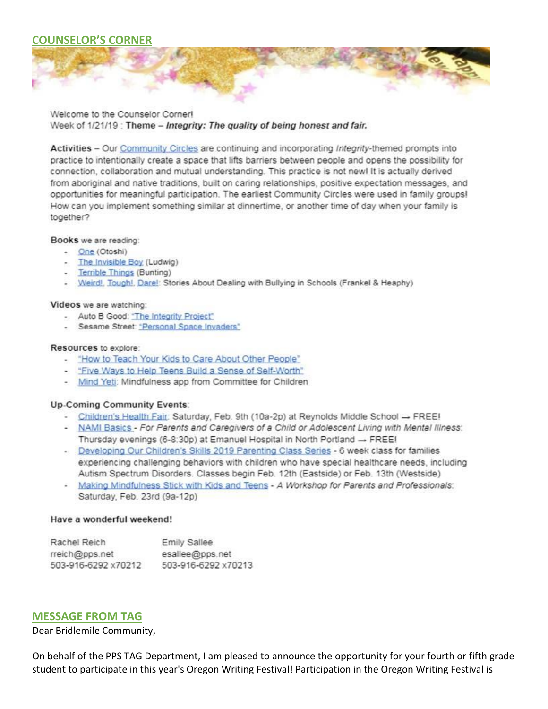## **COUNSELOR'S CORNER**



Welcome to the Counselor Corner! Week of 1/21/19: Theme - Integrity: The quality of being honest and fair.

Activities - Our Community Circles are continuing and incorporating Integrity-themed prompts into practice to intentionally create a space that lifts barriers between people and opens the possibility for connection, collaboration and mutual understanding. This practice is not new! It is actually derived from aboriginal and native traditions, built on caring relationships, positive expectation messages, and opportunities for meaningful participation. The earliest Community Circles were used in family groups! How can you implement something similar at dinnertime, or another time of day when your family is together?

#### Books we are reading:

- One (Otoshi)
- The Invisible Boy (Ludwig)
- Terrible Things (Bunting)
- Weird!, Tough!, Dare!: Stories About Dealing with Bullying in Schools (Frankel & Heaphy)

#### Videos we are watching:

- Auto B Good: "The Integrity Project"
- Sesame Street: "Personal Space Invaders"

#### Resources to explore:

- "How to Teach Your Kids to Care About Other People"
- "Five Ways to Help Teens Build a Sense of Self-Worth"
- Mind Yeti: Mindfulness app from Committee for Children

#### **Up-Coming Community Events:**

- Children's Health Fair: Saturday, Feb. 9th (10a-2p) at Reynolds Middle School -> FREE!
- NAMI Basics For Parents and Caregivers of a Child or Adolescent Living with Mental Illness: Thursday evenings (6-8:30p) at Emanuel Hospital in North Portland - FREE!
- Developing Our Children's Skills 2019 Parenting Class Series 6 week class for families experiencing challenging behaviors with children who have special healthcare needs, including Autism Spectrum Disorders. Classes begin Feb. 12th (Eastside) or Feb. 13th (Westside)
- Making Mindfulness Stick with Kids and Teens A Workshop for Parents and Professionals: Saturday, Feb. 23rd (9a-12p)

#### Have a wonderful weekend!

| Rachel Reich        | Emily Sallee        |
|---------------------|---------------------|
| rreich@pps.net      | esallee@pps.net     |
| 503-916-6292 x70212 | 503-916-6292 x70213 |

#### **MESSAGE FROM TAG**

Dear Bridlemile Community,

On behalf of the PPS TAG Department, I am pleased to announce the opportunity for your fourth or fifth grade student to participate in this year's Oregon Writing Festival! Participation in the Oregon Writing Festival is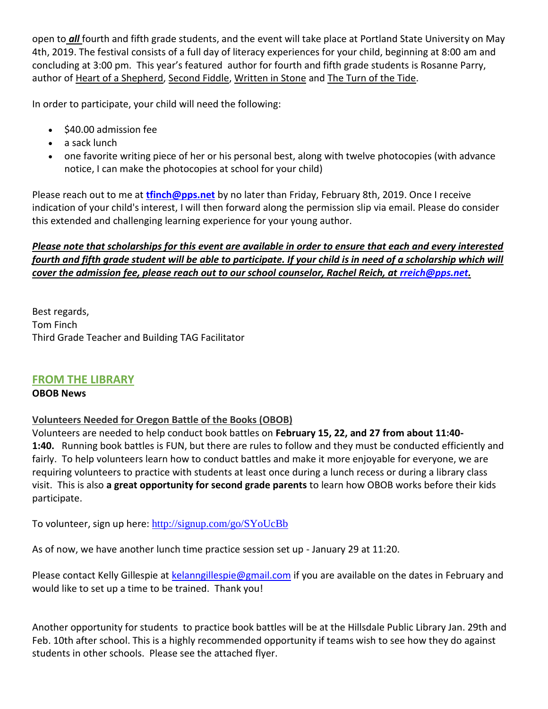open to *all* fourth and fifth grade students, and the event will take place at Portland State University on May 4th, 2019. The festival consists of a full day of literacy experiences for your child, beginning at 8:00 am and concluding at 3:00 pm. This year's featured author for fourth and fifth grade students is Rosanne Parry, author of Heart of a Shepherd, Second Fiddle, Written in Stone and The Turn of the Tide.

In order to participate, your child will need the following:

- $\bullet$  \$40.00 admission fee
- a sack lunch
- one favorite writing piece of her or his personal best, along with twelve photocopies (with advance notice, I can make the photocopies at school for your child)

Please reach out to me at **[tfinch@pps.net](mailto:tfinch@pps.net)** by no later than Friday, February 8th, 2019. Once I receive indication of your child's interest, I will then forward along the permission slip via email. Please do consider this extended and challenging learning experience for your young author.

# *Please note that scholarships for this event are available in order to ensure that each and every interested fourth and fifth grade student will be able to participate. If your child is in need of a scholarship which will cover the admission fee, please reach out to our school counselor, Rachel Reich, at [rreich@pps.net.](mailto:rreich@pps.net)*

Best regards, Tom Finch Third Grade Teacher and Building TAG Facilitator

# **FROM THE LIBRARY**

## **OBOB News**

# **Volunteers Needed for Oregon Battle of the Books (OBOB)**

Volunteers are needed to help conduct book battles on **February 15, 22, and 27 from about 11:40- 1:40.** Running book battles is FUN, but there are rules to follow and they must be conducted efficiently and fairly. To help volunteers learn how to conduct battles and make it more enjoyable for everyone, we are requiring volunteers to practice with students at least once during a lunch recess or during a library class visit. This is also **a great opportunity for second grade parents** to learn how OBOB works before their kids participate.

To volunteer, sign up here: <http://signup.com/go/SYoUcBb>

As of now, we have another lunch time practice session set up - January 29 at 11:20.

Please contact Kelly Gillespie at [kelanngillespie@gmail.com](mailto:kelanngillespie@gmail.com) if you are available on the dates in February and would like to set up a time to be trained. Thank you!

Another opportunity for students to practice book battles will be at the Hillsdale Public Library Jan. 29th and Feb. 10th after school. This is a highly recommended opportunity if teams wish to see how they do against students in other schools. Please see the attached flyer.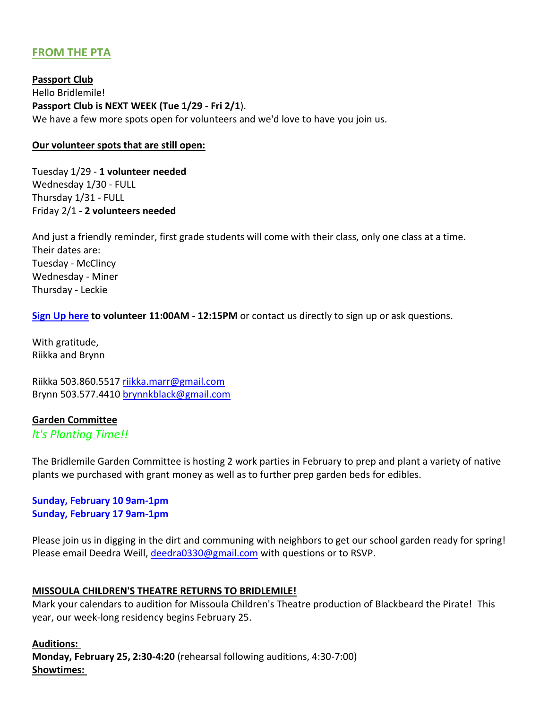# **FROM THE PTA**

**Passport Club** Hello Bridlemile! **Passport Club is NEXT WEEK (Tue 1/29 - Fri 2/1**). We have a few more spots open for volunteers and we'd love to have you join us.

#### **Our volunteer spots that are still open:**

Tuesday 1/29 - **1 volunteer needed** Wednesday 1/30 - FULL Thursday 1/31 - FULL Friday 2/1 - **2 volunteers needed**

And just a friendly reminder, first grade students will come with their class, only one class at a time. Their dates are: Tuesday - McClincy Wednesday - Miner Thursday - Leckie

**[Sign Up here](http://signup.com/go/e5n5fH) to volunteer 11:00AM - 12:15PM** or contact us directly to sign up or ask questions.

With gratitude, Riikka and Brynn

Riikka 503.860.5517 [riikka.marr@gmail.com](mailto:riikka.marr@gmail.com) Brynn 503.577.4410 [brynnkblack@gmail.com](mailto:brynnkblack@gmail.com)

#### **Garden Committee**

*It's Planting Time!!*

The Bridlemile Garden Committee is hosting 2 work parties in February to prep and plant a variety of native plants we purchased with grant money as well as to further prep garden beds for edibles.

## **Sunday, February 10 9am-1pm Sunday, February 17 9am-1pm**

Please join us in digging in the dirt and communing with neighbors to get our school garden ready for spring! Please email Deedra Weill, [deedra0330@gmail.com](mailto:deedra0330@gmail.com) with questions or to RSVP.

#### **MISSOULA CHILDREN'S THEATRE RETURNS TO BRIDLEMILE!**

Mark your calendars to audition for Missoula Children's Theatre production of Blackbeard the Pirate! This year, our week-long residency begins February 25.

**Auditions: Monday, February 25, 2:30-4:20** (rehearsal following auditions, 4:30-7:00) **Showtimes:**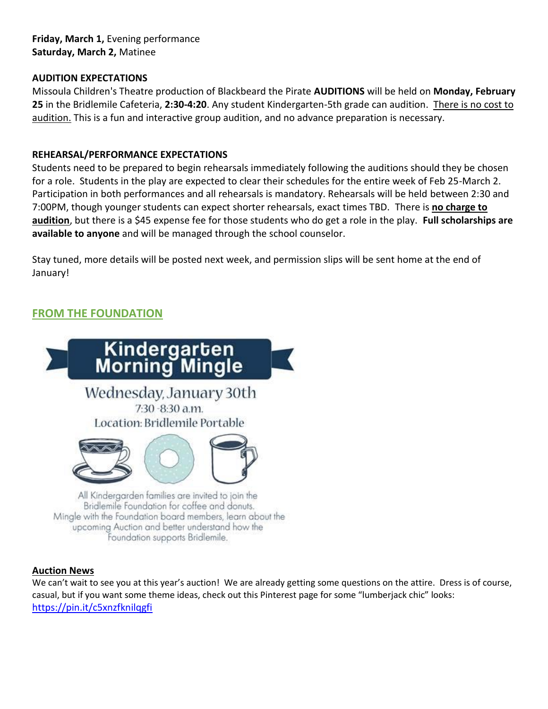**Friday, March 1,** Evening performance **Saturday, March 2,** Matinee

### **AUDITION EXPECTATIONS**

Missoula Children's Theatre production of Blackbeard the Pirate **AUDITIONS** will be held on **Monday, February 25** in the Bridlemile Cafeteria, **2:30-4:20**. Any student Kindergarten-5th grade can audition. There is no cost to audition. This is a fun and interactive group audition, and no advance preparation is necessary.

#### **REHEARSAL/PERFORMANCE EXPECTATIONS**

Students need to be prepared to begin rehearsals immediately following the auditions should they be chosen for a role. Students in the play are expected to clear their schedules for the entire week of Feb 25-March 2. Participation in both performances and all rehearsals is mandatory. Rehearsals will be held between 2:30 and 7:00PM, though younger students can expect shorter rehearsals, exact times TBD. There is **no charge to audition**, but there is a \$45 expense fee for those students who do get a role in the play. **Full scholarships are available to anyone** and will be managed through the school counselor.

Stay tuned, more details will be posted next week, and permission slips will be sent home at the end of January!

# **FROM THE FOUNDATION**



#### **Auction News**

We can't wait to see you at this year's auction! We are already getting some questions on the attire. Dress is of course, casual, but if you want some theme ideas, check out this Pinterest page for some "lumberjack chic" looks: <https://pin.it/c5xnzfknilqgfi>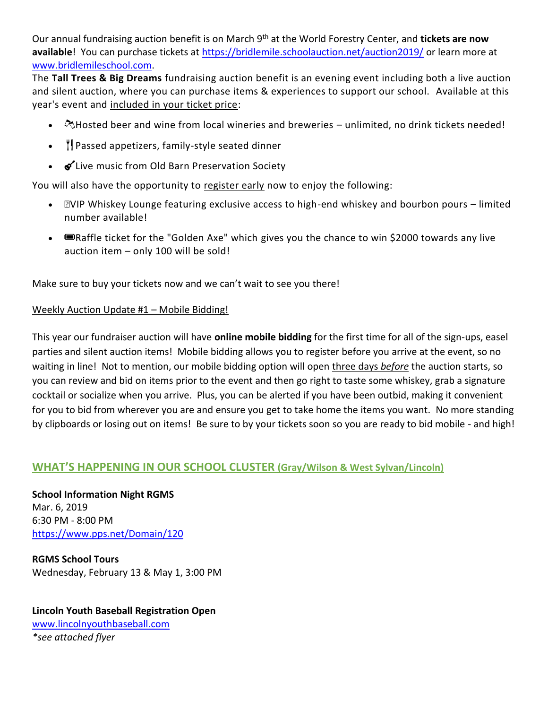Our annual fundraising auction benefit is on March 9th at the World Forestry Center, and **tickets are now**  available! You can purchase tickets at<https://bridlemile.schoolauction.net/auction2019/> or learn more at [www.bridlemileschool.com.](http://www.bridlemileschool.com/)

The **Tall Trees & Big Dreams** fundraising auction benefit is an evening event including both a live auction and silent auction, where you can purchase items & experiences to support our school. Available at this year's event and included in your ticket price:

- $\bullet$   $\propto$   $\infty$ Hosted beer and wine from local wineries and breweries unlimited, no drink tickets needed!
- $\|$  Passed appetizers, family-style seated dinner
- $\bullet$  Live music from Old Barn Preservation Society

You will also have the opportunity to register early now to enjoy the following:

- **EVIP Whiskey Lounge featuring exclusive access to high-end whiskey and bourbon pours limited** number available!
- Exaffle ticket for the "Golden Axe" which gives you the chance to win \$2000 towards any live auction item – only 100 will be sold!

Make sure to buy your tickets now and we can't wait to see you there!

#### Weekly Auction Update #1 – Mobile Bidding!

This year our fundraiser auction will have **online mobile bidding** for the first time for all of the sign-ups, easel parties and silent auction items! Mobile bidding allows you to register before you arrive at the event, so no waiting in line! Not to mention, our mobile bidding option will open three days *before* the auction starts, so you can review and bid on items prior to the event and then go right to taste some whiskey, grab a signature cocktail or socialize when you arrive. Plus, you can be alerted if you have been outbid, making it convenient for you to bid from wherever you are and ensure you get to take home the items you want. No more standing by clipboards or losing out on items! Be sure to by your tickets soon so you are ready to bid mobile - and high!

## **WHAT'S HAPPENING IN OUR SCHOOL CLUSTER (Gray/Wilson & West Sylvan/Lincoln)**

**School Information Night RGMS** Mar. 6, 2019 6:30 PM - 8:00 PM <https://www.pps.net/Domain/120>

**RGMS School Tours** Wednesday, February 13 & May 1, 3:00 PM

**Lincoln Youth Baseball Registration Open** [www.lincolnyouthbaseball.com](http://www.lincolnyouthbaseball.com/) *\*see attached flyer*